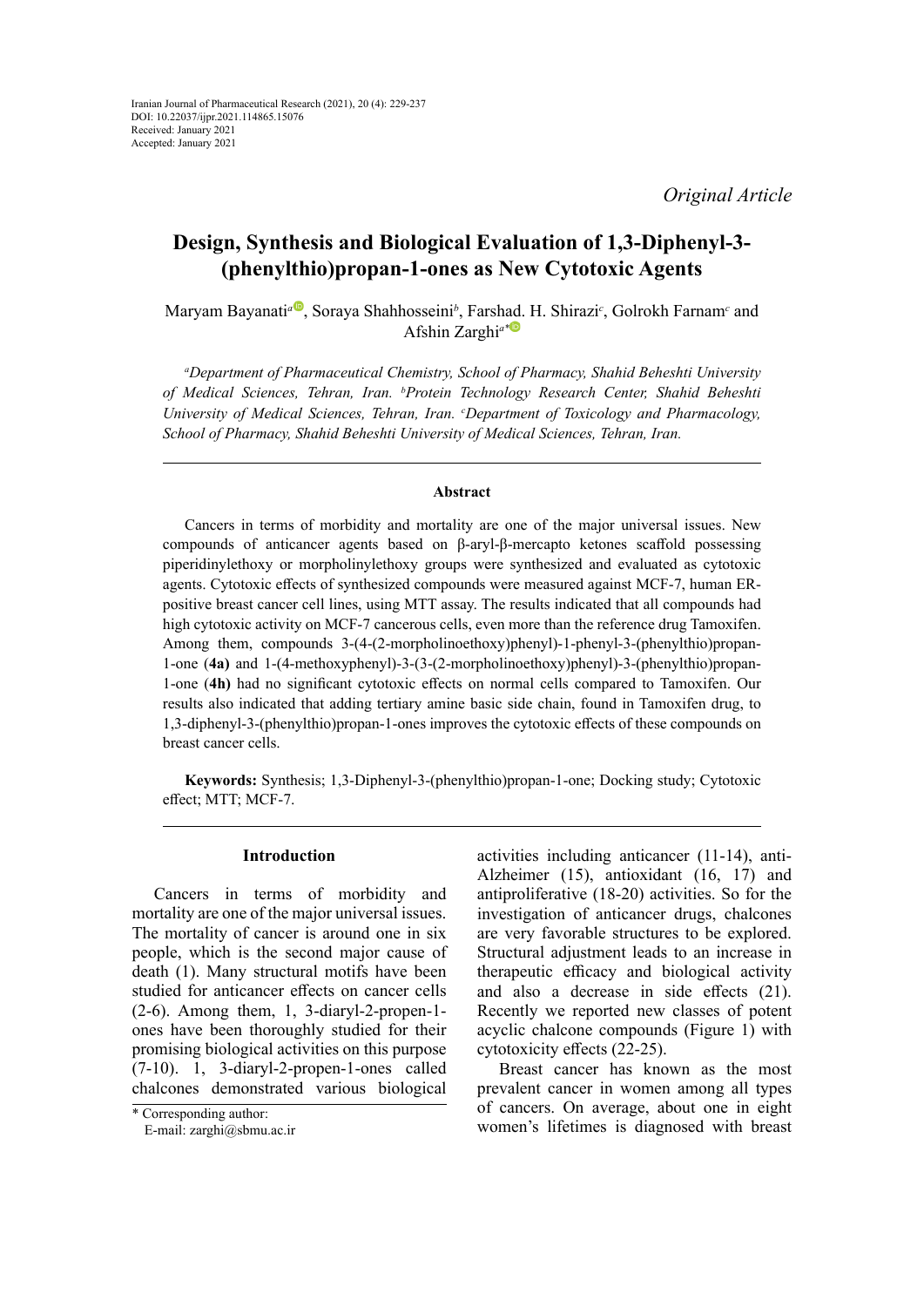*Original Article*

# **Design, Synthesis and Biological Evaluation of 1,3-Diphenyl-3- (phenylthio)propan-1-ones as New Cytotoxic Agents**

Maryam Bayanati<sup>a®</sup>[,](https://orcid.org/0000-0002-1225-7538) Soraya Shahhosseini<sup>b</sup>, Farsh[ad.](https://orcid.org/0000-0003-2477-9533) H. Shirazi<sup>c</sup>, Golrokh Farnam<sup>c</sup> and Afshin Zarghi*a\**

*a Department of Pharmaceutical Chemistry, School of Pharmacy, Shahid Beheshti University of Medical Sciences, Tehran, Iran. b Protein Technology Research Center, Shahid Beheshti*  University of Medical Sciences, Tehran, Iran. *Coepartment of Toxicology and Pharmacology*, *School of Pharmacy, Shahid Beheshti University of Medical Sciences, Tehran, Iran.*

### **Abstract**

Cancers in terms of morbidity and mortality are one of the major universal issues. New compounds of anticancer agents based on β-aryl-β-mercapto ketones scaffold possessing piperidinylethoxy or morpholinylethoxy groups were synthesized and evaluated as cytotoxic agents. Cytotoxic effects of synthesized compounds were measured against MCF-7, human ERpositive breast cancer cell lines, using MTT assay. The results indicated that all compounds had high cytotoxic activity on MCF-7 cancerous cells, even more than the reference drug Tamoxifen. Among them, compounds 3-(4-(2-morpholinoethoxy)phenyl)-1-phenyl-3-(phenylthio)propan-1-one (**4a)** and 1-(4-methoxyphenyl)-3-(3-(2-morpholinoethoxy)phenyl)-3-(phenylthio)propan-1-one (**4h)** had no significant cytotoxic effects on normal cells compared to Tamoxifen. Our results also indicated that adding tertiary amine basic side chain, found in Tamoxifen drug, to 1,3-diphenyl-3-(phenylthio)propan-1-ones improves the cytotoxic effects of these compounds on breast cancer cells.

**Keywords:** Synthesis; 1,3-Diphenyl-3-(phenylthio)propan-1-one; Docking study; Cytotoxic effect; MTT; MCF-7.

### **Introduction**

Cancers in terms of morbidity and mortality are one of the major universal issues. The mortality of cancer is around one in six people, which is the second major cause of death (1). Many structural motifs have been studied for anticancer effects on cancer cells (2-6). Among them, 1, 3-diaryl-2-propen-1 ones have been thoroughly studied for their promising biological activities on this purpose (7-10). 1, 3-diaryl-2-propen-1-ones called chalcones demonstrated various biological

activities including anticancer (11-14), anti-Alzheimer (15), antioxidant (16, 17) and antiproliferative (18-20) activities. So for the investigation of anticancer drugs, chalcones are very favorable structures to be explored. Structural adjustment leads to an increase in therapeutic efficacy and biological activity and also a decrease in side effects (21). Recently we reported new classes of potent acyclic chalcone compounds (Figure 1) with cytotoxicity effects (22-25).

Breast cancer has known as the most prevalent cancer in women among all types of cancers. On average, about one in eight women's lifetimes is diagnosed with breast

<sup>\*</sup> Corresponding author:

E-mail: zarghi@sbmu.ac.ir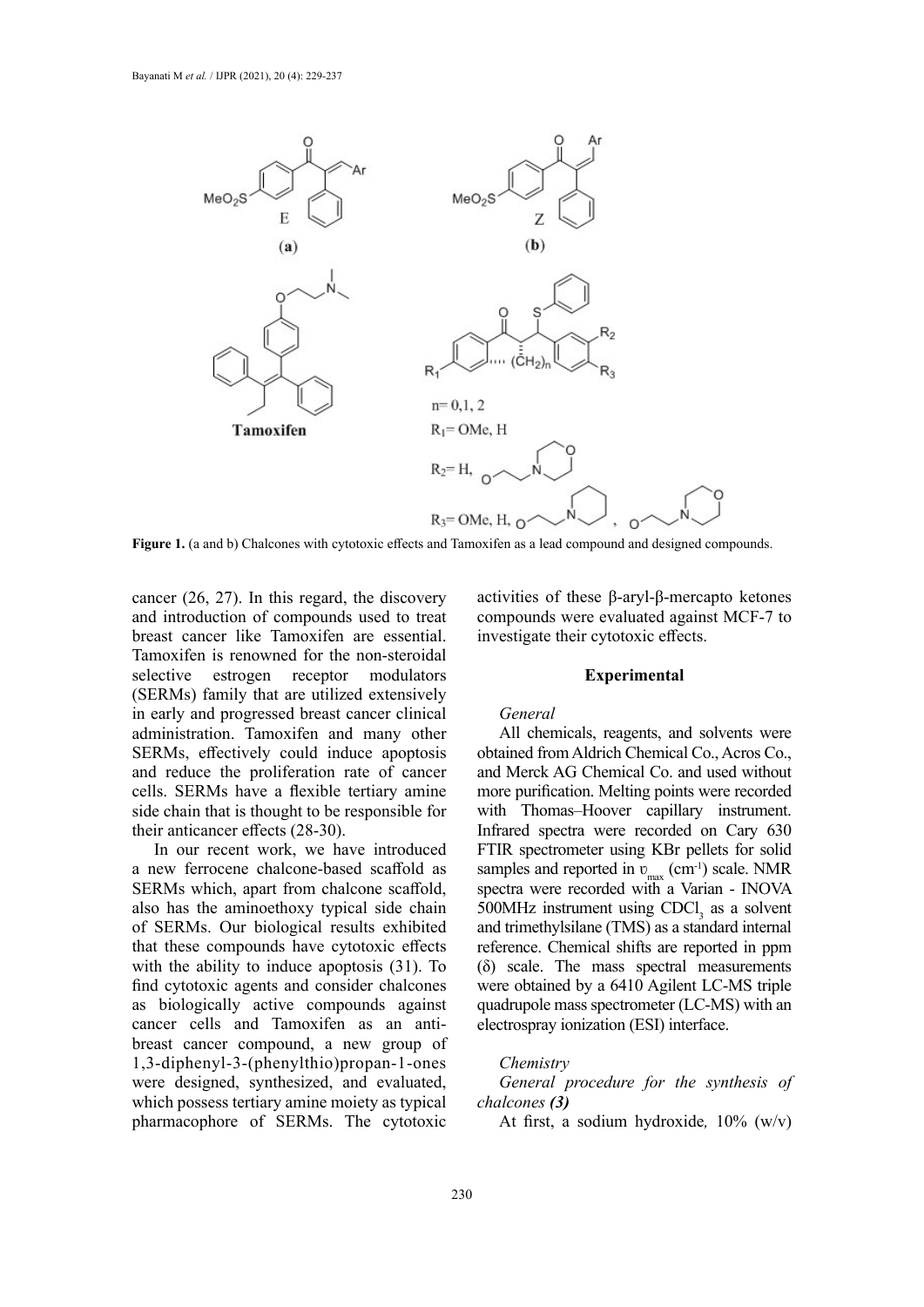

**Figure 1.** (a and b) Chalcones with cytotoxic effects and Tamoxifen as a lead compound and designed compounds.

cancer (26, 27). In this regard, the discovery and introduction of compounds used to treat breast cancer like Tamoxifen are essential. Tamoxifen is renowned for the non-steroidal selective estrogen receptor modulators (SERMs) family that are utilized extensively in early and progressed breast cancer clinical administration. Tamoxifen and many other SERMs, effectively could induce apoptosis and reduce the proliferation rate of cancer cells. SERMs have a flexible tertiary amine side chain that is thought to be responsible for their anticancer effects (28-30).

In our recent work, we have introduced a new ferrocene chalcone-based scaffold as SERMs which, apart from chalcone scaffold, also has the aminoethoxy typical side chain of SERMs. Our biological results exhibited that these compounds have cytotoxic effects with the ability to induce apoptosis (31). To find cytotoxic agents and consider chalcones as biologically active compounds against cancer cells and Tamoxifen as an antibreast cancer compound, a new group of 1,3-diphenyl-3-(phenylthio)propan-1-ones were designed, synthesized, and evaluated, which possess tertiary amine moiety as typical pharmacophore of SERMs. The cytotoxic

activities of these β-aryl-β-mercapto ketones compounds were evaluated against MCF-7 to investigate their cytotoxic effects.

### **Experimental**

#### *General*

All chemicals, reagents, and solvents were obtained from Aldrich Chemical Co., Acros Co., and Merck AG Chemical Co. and used without more purification. Melting points were recorded with Thomas–Hoover capillary instrument. Infrared spectra were recorded on Cary 630 FTIR spectrometer using KBr pellets for solid samples and reported in  $v_{\text{max}}$  (cm<sup>-1</sup>) scale. NMR spectra were recorded with a Varian - INOVA  $500$ MHz instrument using CDCl<sub>3</sub> as a solvent and trimethylsilane (TMS) as a standard internal reference. Chemical shifts are reported in ppm (δ) scale. The mass spectral measurements were obtained by a 6410 Agilent LC-MS triple quadrupole mass spectrometer (LC-MS) with an electrospray ionization (ESI) interface.

# *Chemistry*

*General procedure for the synthesis of chalcones (3)*

At first, a sodium hydroxide*,* 10% (w/v)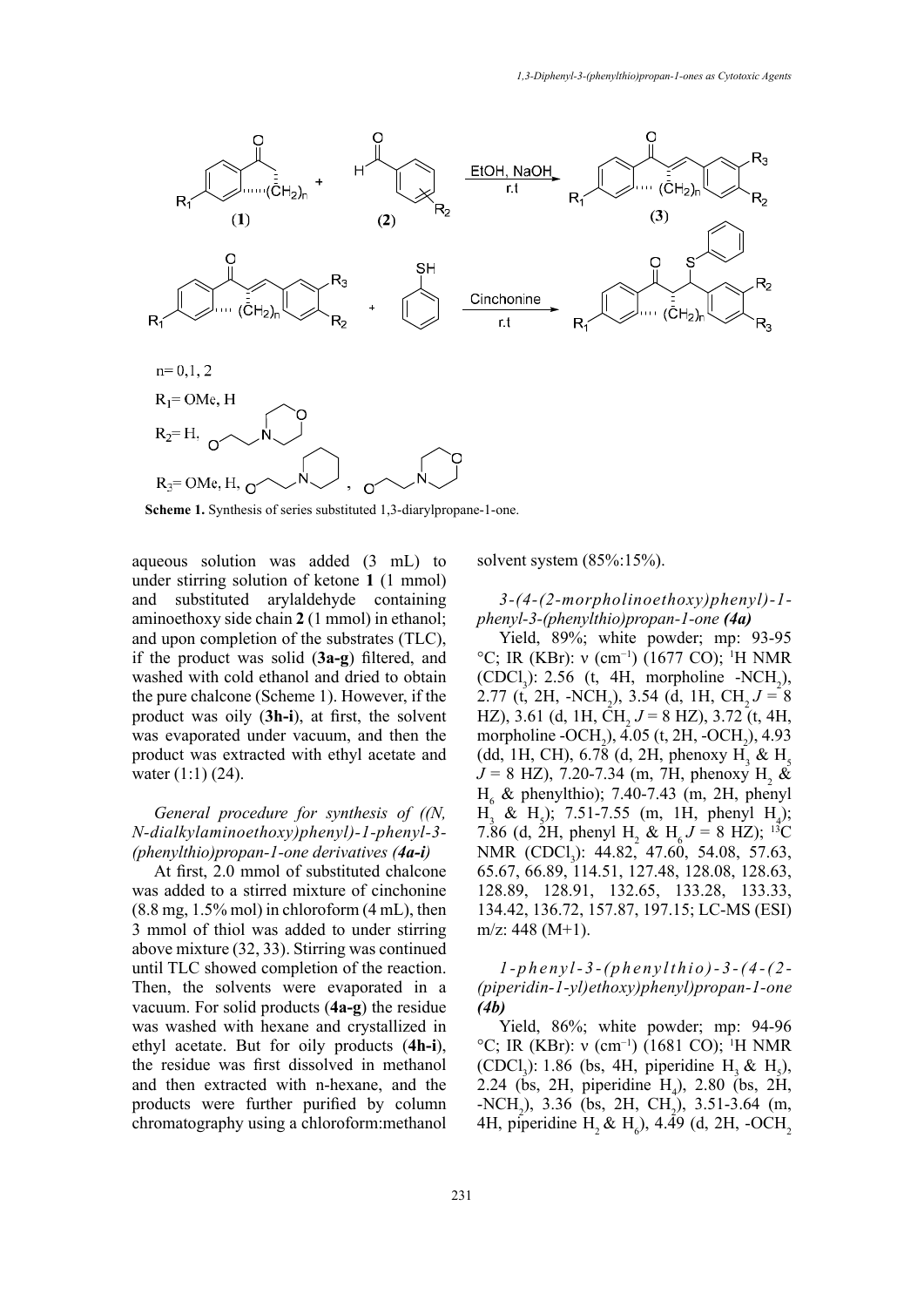

**Scheme 1.** Synthesis of series substituted 1,3-diarylpropane-1-one.

aqueous solution was added (3 mL) to solvent system (85 under stirring solution of ketone **1** (1 mmol) and substituted arylaldehyde containing aminoethoxy side chain **2** (1 mmol) in ethanol; and upon completion of the substrates (TLC), if the product was solid (**3a-g**) filtered, and washed with cold ethanol and dried to obtain the pure chalcone (Scheme 1). However, if the product was oily (**3h-i**), at first, the solvent was evaporated under vacuum, and then the product was extracted with ethyl acetate and water (1:1) (24).

# *General procedure for synthesis of ((N, N-dialkylaminoethoxy)phenyl)-1-phenyl-3- (phenylthio)propan-1-one derivatives (4a-i)*

At first, 2.0 mmol of substituted chalcone was added to a stirred mixture of cinchonine  $(8.8 \text{ mg}, 1.5\% \text{ mol})$  in chloroform  $(4 \text{ mL})$ , then 3 mmol of thiol was added to under stirring above mixture (32, 33). Stirring was continued until TLC showed completion of the reaction. Then, the solvents were evaporated in a vacuum. For solid products (**4a-g**) the residue was washed with hexane and crystallized in ethyl acetate. But for oily products (**4h-i**), the residue was first dissolved in methanol and then extracted with n-hexane, and the products were further purified by column chromatography using a chloroform:methanol solvent system (85%:15%).

*3-(4-(2-morpholinoethoxy)phenyl)-1 phenyl-3-(phenylthio)propan-1-one (4a)*

Yield, 89%; white powder; mp: 93-95 <sup>°</sup>C; IR (KBr): ν (cm<sup>-1</sup>) (1677 CO); <sup>1</sup>H NMR (CDCl<sub>3</sub>): 2.56 (t, 4H, morpholine -NCH<sub>2</sub>), 2.77 (t, 2H, -NCH<sub>2</sub>), 3.54 (d, 1H, CH<sub>2</sub> $J = 8$ HZ), 3.61 (d, 1H, CH<sub>2</sub>  $J = 8$  HZ), 3.72 (t, 4H, morpholine - $OCH_2$ ), 4.05 (t, 2H, - $OCH_2$ ), 4.93 (dd, 1H, CH), 6.78 (d, 2H, phenoxy H<sub>3</sub> & H<sub>5</sub>  $J = 8$  HZ), 7.20-7.34 (m, 7H, phenoxy H<sub>2</sub> &  $H<sub>6</sub>$  & phenylthio); 7.40-7.43 (m, 2H, phenyl  $H_3 \& H_5$ ); 7.51-7.55 (m, 1H, phenyl  $H_4$ ); 7.86 (d, 2H, phenyl H<sub>2</sub> & H<sub>6</sub> J = 8 HZ); <sup>13</sup>C NMR (CDCl<sub>3</sub>): 44.82, 47.60, 54.08, 57.63, 65.67, 66.89, 114.51, 127.48, 128.08, 128.63, 128.89, 128.91, 132.65, 133.28, 133.33, 134.42, 136.72, 157.87, 197.15; LC-MS (ESI) m/z: 448 (M+1).

*1-phenyl-3-(phenylthio)-3-(4-(2- (piperidin-1-yl)ethoxy)phenyl)propan-1-one (4b)*

Yield, 86%; white powder; mp: 94-96 °C; IR (KBr): ν (cm<sup>-1</sup>) (1681 CO); <sup>1</sup>H NMR (CDCl<sub>3</sub>): 1.86 (bs, 4H, piperidine H<sub>3</sub> & H<sub>5</sub>), 2.24 (bs, 2H, piperidine  $H_4$ ), 2.80 (bs, 2H,  $-NCH_2$ ), 3.36 (bs, 2H, CH<sub>2</sub>), 3.51-3.64 (m, 4H, piperidine  $H_2 \& H_6$ ), 4.49 (d, 2H, -OCH<sub>2</sub>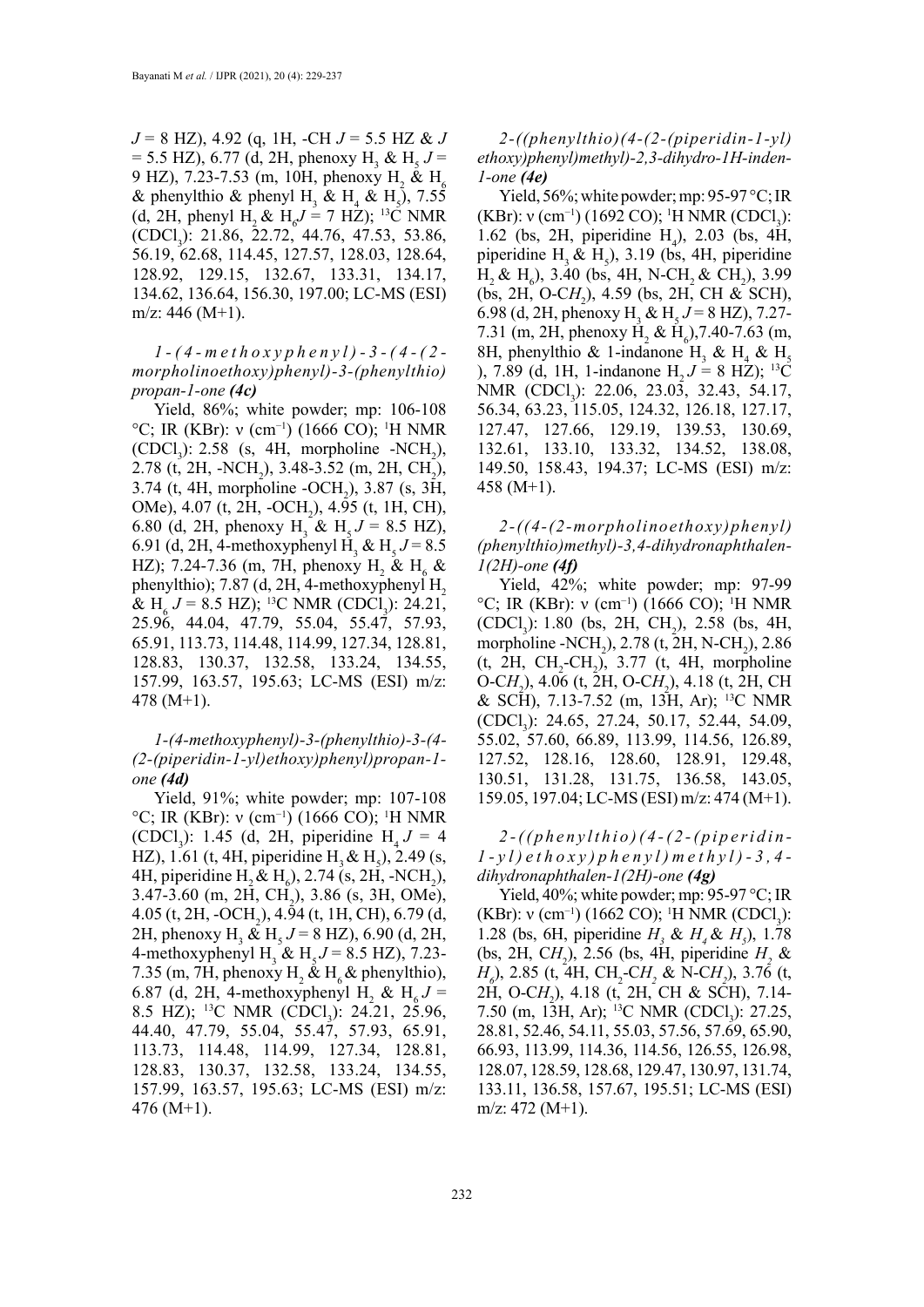*J* = 8 HZ), 4.92 (q, 1H, -CH *J* = 5.5 HZ & *J*   $=$  5.5 HZ), 6.77 (d, 2H, phenoxy H<sub>3</sub> & H<sub>5</sub> *J* = 9 HZ), 7.23-7.53 (m, 10H, phenoxy H<sub>2</sub> & H<sub>6</sub> & phenylthio & phenyl H<sub>3</sub> & H<sub>4</sub> & H<sub>5</sub>), 7.55 (d, 2H, phenyl H<sub>2</sub> & H<sub>6</sub> $J = 7$  HZ); <sup>13</sup>C NMR (CDCl<sub>3</sub>): 21.86, 22.72, 44.76, 47.53, 53.86, 56.19, 62.68, 114.45, 127.57, 128.03, 128.64, 128.92, 129.15, 132.67, 133.31, 134.17, 134.62, 136.64, 156.30, 197.00; LC-MS (ESI) m/z: 446  $(M+1)$ .

*1-(4-methoxyphenyl)-3-(4-(2 morpholinoethoxy)phenyl)-3-(phenylthio) propan-1-one (4c)*

Yield, 86%; white powder; mp: 106-108 °C; IR (KBr): ν (cm<sup>-1</sup>) (1666 CO); <sup>1</sup>H NMR (CDCl<sub>3</sub>): 2.58 (s, 4H, morpholine -NCH<sub>2</sub>), 2.78 (t, 2H, -NCH<sub>2</sub>), 3.48-3.52 (m, 2H, CH<sub>2</sub>), 3.74 (t, 4H, morpholine -OCH<sub>2</sub>), 3.87 (s, 3H, OMe), 4.07 (t, 2H, -OCH<sub>2</sub>), 4.95 (t, 1H, CH), 6.80 (d, 2H, phenoxy H<sub>3</sub> & H<sub>5</sub>  $J = 8.5$  HZ), 6.91 (d, 2H, 4-methoxyphenyl H<sub>3</sub> & H<sub>5</sub>  $J = 8.5$ HZ); 7.24-7.36 (m, 7H, phenoxy H<sub>2</sub> & H<sub>6</sub> & phenylthio); 7.87 (d, 2H, 4-methoxyphenyl  $H<sub>2</sub>$ & H<sub>6</sub>  $J = 8.5$  HZ); <sup>13</sup>C NMR (CDCl<sub>3</sub>): 24.21, 25.96, 44.04, 47.79, 55.04, 55.47, 57.93, 65.91, 113.73, 114.48, 114.99, 127.34, 128.81, 128.83, 130.37, 132.58, 133.24, 134.55, 157.99, 163.57, 195.63; LC-MS (ESI) m/z: 478 (M+1).

*1-(4-methoxyphenyl)-3-(phenylthio)-3-(4- (2-(piperidin-1-yl)ethoxy)phenyl)propan-1 one (4d)*

Yield, 91%; white powder; mp: 107-108 °C; IR (KBr): ν (cm<sup>-1</sup>) (1666 CO); <sup>1</sup>H NMR (CDCl<sub>3</sub>): 1.45 (d, 2H, piperidine  $H_4 J = 4$ HZ), 1.61 (t, 4H, piperidine  $H_3 \& H_5$ ), 2.49 (s, 4H, piperidine  $H_2 \& H_6$ ), 2.74 (s, 2H, -NCH<sub>2</sub>),  $3.47 - 3.60$  (m, 2H, CH<sub>2</sub>),  $3.86$  (s, 3H, OMe),  $4.05$  (t, 2H, -OCH<sub>2</sub>),  $4.94$  (t, 1H, CH), 6.79 (d, 2H, phenoxy H<sub>3</sub> & H<sub>5</sub>  $J = 8$  HZ), 6.90 (d, 2H, 4-methoxyphenyl H<sub>3</sub> & H<sub>5</sub>  $J = 8.5$  HZ), 7.23-7.35 (m, 7H, phenoxy  $H_2 \& H_6 \&$  phenylthio), 6.87 (d, 2H, 4-methoxyphenyl H<sub>2</sub> & H<sub>6</sub> J = 8.5 HZ); <sup>13</sup>C NMR (CDCl<sub>3</sub>): 24.21, 25.96, 44.40, 47.79, 55.04, 55.47, 57.93, 65.91, 113.73, 114.48, 114.99, 127.34, 128.81, 128.83, 130.37, 132.58, 133.24, 134.55, 157.99, 163.57, 195.63; LC-MS (ESI) m/z: 476 (M+1).

*2-((phenylthio)(4-(2-(piperidin-1-yl) ethoxy)phenyl)methyl)-2,3-dihydro-1H-inden-1-one (4e)*

Yield, 56%; white powder; mp: 95-97 °C; IR (KBr):  $v$  (cm<sup>-1</sup>) (1692 CO); <sup>1</sup>H NMR (CDCl<sub>3</sub>): 1.62 (bs, 2H, piperidine  $H_4$ ), 2.03 (bs, 4H, piperidine  $H_3 \& H_5$ ), 3.19 (bs, 4H, piperidine  $H_2 \& H_6$ ), 3.40 (bs, 4H, N-CH<sub>2</sub> & CH<sub>2</sub>), 3.99 (bs, 2H, O-C*H*<sub>2</sub>), 4.59 (bs, 2H, CH & SCH), 6.98 (d, 2H, phenoxy H<sub>3</sub> & H<sub>5</sub>  $J = 8$  HZ), 7.27-7.31 (m, 2H, phenoxy H<sub>2</sub> & H<sub>6</sub>), 7.40-7.63 (m, 8H, phenylthio & 1-indanone H<sub>3</sub> & H<sub>4</sub> & H<sub>5</sub> ), 7.89 (d, 1H, 1-indanone H<sub>2</sub> *J* = 8 HZ); <sup>13</sup>C NMR (CDCl<sub>3</sub>): 22.06, 23.03, 32.43, 54.17, 56.34, 63.23, 115.05, 124.32, 126.18, 127.17, 127.47, 127.66, 129.19, 139.53, 130.69, 132.61, 133.10, 133.32, 134.52, 138.08, 149.50, 158.43, 194.37; LC-MS (ESI) m/z: 458 (M+1).

*2-((4-(2-morpholinoethoxy)phenyl) (phenylthio)methyl)-3,4-dihydronaphthalen-1(2H)-one (4f)*

Yield, 42%; white powder; mp: 97-99 °C; IR (KBr): ν (cm<sup>-1</sup>) (1666 CO); <sup>1</sup>H NMR  $(CDCl_3)$ : 1.80 (bs, 2H, CH<sub>2</sub>), 2.58 (bs, 4H, morpholine -NCH<sub>2</sub>), 2.78 (t, 2H, N-CH<sub>2</sub>), 2.86  $(t, 2H, CH_2-CH_2), 3.77$   $(t, 4H, morpholine)$ O-CH<sub>2</sub>), 4.06 (t, 2H, O-CH<sub>2</sub>), 4.18 (t, 2H, CH & SCH), 7.13-7.52 (m, 13H, Ar); 13C NMR (CDCl<sub>3</sub>): 24.65, 27.24, 50.17, 52.44, 54.09, 55.02, 57.60, 66.89, 113.99, 114.56, 126.89, 127.52, 128.16, 128.60, 128.91, 129.48, 130.51, 131.28, 131.75, 136.58, 143.05, 159.05, 197.04; LC-MS (ESI) m/z: 474 (M+1).

*2-((phenylthio)(4-(2-(piperidin-1-yl)ethoxy)phenyl)methyl)-3,4 dihydronaphthalen-1(2H)-one (4g)*

Yield, 40%; white powder; mp: 95-97 °C; IR (KBr):  $v$  (cm<sup>-1</sup>) (1662 CO); <sup>1</sup>H NMR (CDCl<sub>3</sub>): 1.28 (bs, 6H, piperidine  $H_3 \& H_4 \& H_5$ ), 1.78 (bs, 2H, C $H_2$ ), 2.56 (bs, 4H, piperidine  $H_2$  & *H*<sub>0</sub>), 2.85 (t, 4H, CH<sub>2</sub>-CH<sub>2</sub> & N-CH<sub>2</sub>), 3.76 (t, 2H, O-CH<sub>2</sub>), 4.18 (t, 2H, CH & SCH), 7.14-7.50 (m, 13H, Ar); <sup>13</sup>C NMR (CDCl<sub>3</sub>): 27.25, 28.81, 52.46, 54.11, 55.03, 57.56, 57.69, 65.90, 66.93, 113.99, 114.36, 114.56, 126.55, 126.98, 128.07, 128.59, 128.68, 129.47, 130.97, 131.74, 133.11, 136.58, 157.67, 195.51; LC-MS (ESI) m/z: 472 (M+1).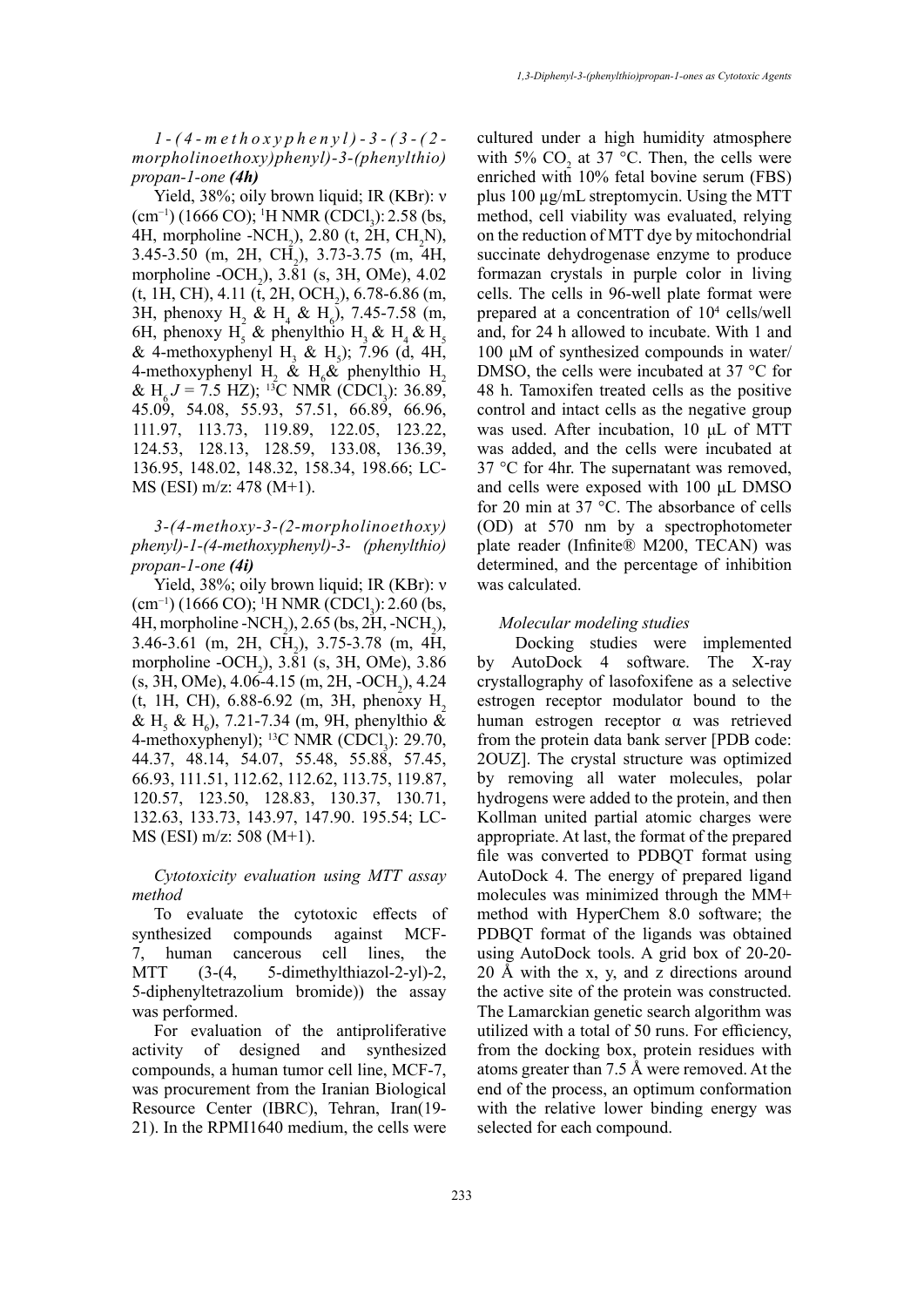*1-(4-methoxyphenyl)-3-(3-(2 morpholinoethoxy)phenyl)-3-(phenylthio) propan-1-one (4h)*

Yield, 38%; oily brown liquid; IR (KBr): ν  $(cm<sup>-1</sup>) (1666 CO);$ <sup>1</sup>H NMR (CDCl<sub>3</sub>): 2.58 (bs, 4H, morpholine -NCH<sub>2</sub>), 2.80 (t, 2H, CH<sub>2</sub>N),  $3.45-3.50$  (m, 2H, CH<sub>2</sub>),  $3.73-3.75$  (m, 4H, morpholine  $-OCH_2$ ), 3.81 (s, 3H, OMe), 4.02  $(t, 1H, CH), 4.11 (t, 2H, OCH<sub>2</sub>), 6.78-6.86 (m,$ 3H, phenoxy H<sub>2</sub> & H<sub>4</sub> & H<sub>6</sub>), 7.45-7.58 (m, 6H, phenoxy H<sub>5</sub> & phenylthio H<sub>3</sub> & H<sub>4</sub> & H<sub>5</sub> & 4-methoxyphenyl H<sub>3</sub> & H<sub>5</sub>); 7.96 (d, 4H, 4-methoxyphenyl H<sub>2</sub> & H<sub>6</sub>& phenylthio H<sub>2</sub> & H<sub>6</sub> $J = 7.5$  HZ); <sup>13</sup>C NMR (CDCl<sub>3</sub>): 36.89, 45.09, 54.08, 55.93, 57.51, 66.89, 66.96, 111.97, 113.73, 119.89, 122.05, 123.22, 124.53, 128.13, 128.59, 133.08, 136.39, 136.95, 148.02, 148.32, 158.34, 198.66; LC-MS (ESI) m/z: 478 (M+1).

*3-(4-methoxy-3-(2-morpholinoethoxy) phenyl)-1-(4-methoxyphenyl)-3- (phenylthio) propan-1-one (4i)*

Yield, 38%; oily brown liquid; IR (KBr): ν  $(cm<sup>-1</sup>) (1666 CO); 'H NMR (CDCl<sub>3</sub>): 2.60 (bs,$ 4H, morpholine -NCH<sub>2</sub>), 2.65 (bs, 2H, -NCH<sub>2</sub>),  $3.46-3.61$  (m, 2H, CH<sub>2</sub>),  $3.75-3.78$  (m, 4H, morpholine -OCH<sub>2</sub>), 3.81 (s, 3H, OMe), 3.86  $(s, 3H, OMe)$ , 4.06-4.15 (m, 2H, -OCH<sub>2</sub>), 4.24 (t, 1H, CH),  $6.88-6.92$  (m, 3H, phenoxy H<sub>2</sub>) & H<sub>5</sub> & H<sub>6</sub>), 7.21-7.34 (m, 9H, phenylthio & 4-methoxyphenyl); <sup>13</sup>C NMR (CDCl<sub>3</sub>): 29.70, 44.37, 48.14, 54.07, 55.48, 55.88, 57.45, 66.93, 111.51, 112.62, 112.62, 113.75, 119.87, 120.57, 123.50, 128.83, 130.37, 130.71, 132.63, 133.73, 143.97, 147.90. 195.54; LC-MS (ESI) m/z: 508 (M+1).

*Cytotoxicity evaluation using MTT assay method*

To evaluate the cytotoxic effects of synthesized compounds against MCF-7, human cancerous cell lines, the MTT (3-(4, 5-dimethylthiazol-2-yl)-2, 5-diphenyltetrazolium bromide)) the assay was performed.

For evaluation of the antiproliferative activity of designed and synthesized compounds, a human tumor cell line, MCF-7, was procurement from the Iranian Biological Resource Center (IBRC), Tehran, Iran(19- 21). In the RPMI1640 medium, the cells were cultured under a high humidity atmosphere with 5%  $CO<sub>2</sub>$  at 37 °C. Then, the cells were enriched with 10% fetal bovine serum (FBS) plus 100 µg/mL streptomycin. Using the MTT method, cell viability was evaluated, relying on the reduction of MTT dye by mitochondrial succinate dehydrogenase enzyme to produce formazan crystals in purple color in living cells. The cells in 96-well plate format were prepared at a concentration of 104 cells/well and, for 24 h allowed to incubate. With 1 and 100 μM of synthesized compounds in water/ DMSO, the cells were incubated at 37 °C for 48 h. Tamoxifen treated cells as the positive control and intact cells as the negative group was used. After incubation, 10 μL of MTT was added, and the cells were incubated at 37 °C for 4hr. The supernatant was removed, and cells were exposed with 100 μL DMSO for 20 min at 37 °C. The absorbance of cells (OD) at 570 nm by a spectrophotometer plate reader (Infinite® M200, TECAN) was determined, and the percentage of inhibition was calculated.

### *Molecular modeling studies*

 Docking studies were implemented by AutoDock 4 software. The X-ray crystallography of lasofoxifene as a selective estrogen receptor modulator bound to the human estrogen receptor α was retrieved from the protein data bank server [PDB code: 2OUZ]. The crystal structure was optimized by removing all water molecules, polar hydrogens were added to the protein, and then Kollman united partial atomic charges were appropriate. At last, the format of the prepared file was converted to PDBQT format using AutoDock 4. The energy of prepared ligand molecules was minimized through the MM+ method with HyperChem 8.0 software; the PDBQT format of the ligands was obtained using AutoDock tools. A grid box of 20-20- 20 Å with the x, y, and z directions around the active site of the protein was constructed. The Lamarckian genetic search algorithm was utilized with a total of 50 runs. For efficiency, from the docking box, protein residues with atoms greater than 7.5 Å were removed. At the end of the process, an optimum conformation with the relative lower binding energy was selected for each compound.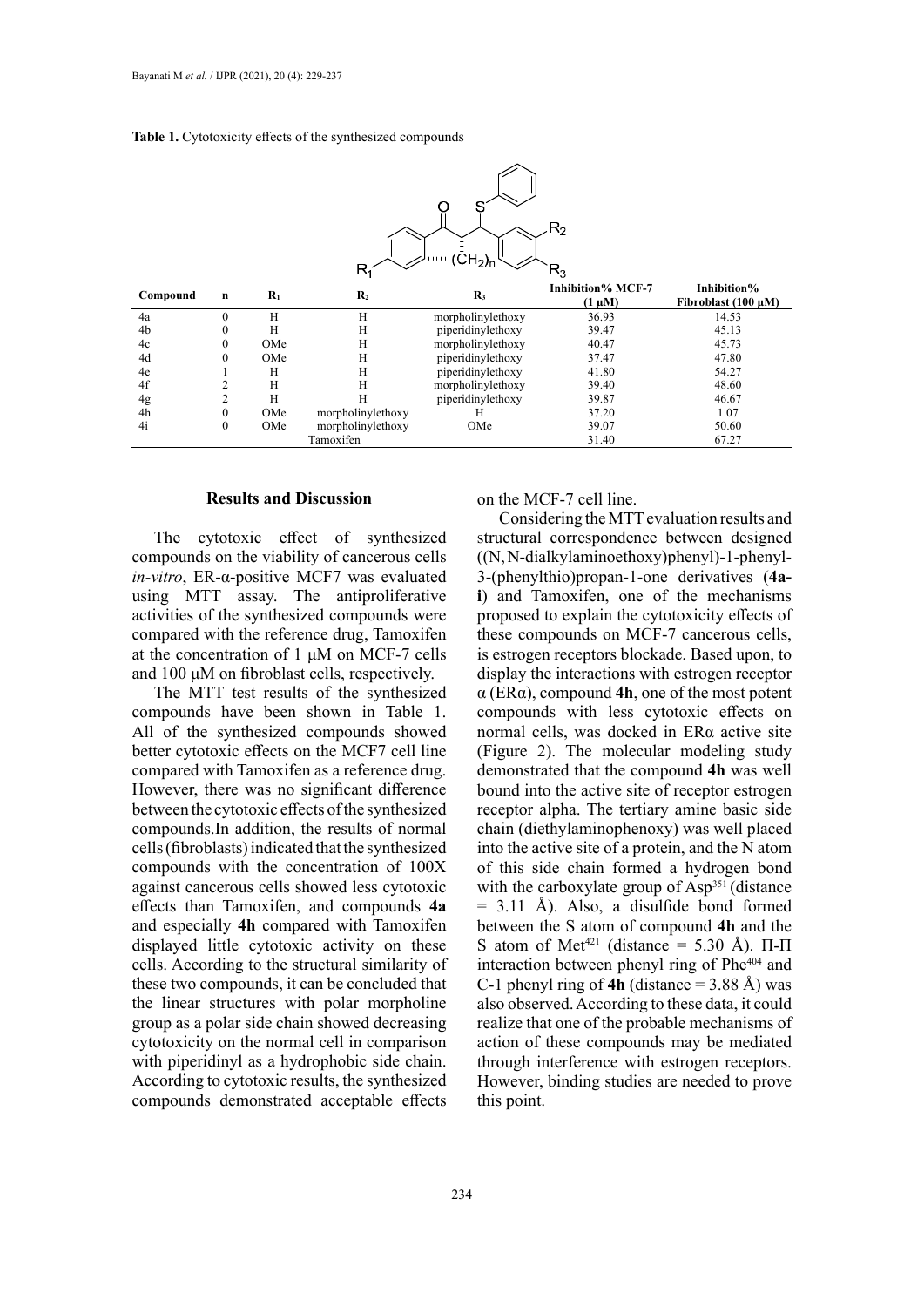|  | <b>Table 1.</b> Cytotoxicity effects of the synthesized compounds |  |
|--|-------------------------------------------------------------------|--|

| $\mathsf{R}_2$<br>$\binom{1}{1}$ $\binom{1}{2}$<br>$\mathsf{R}_1$<br>$R_3$ |                  |       |                   |                   |                                         |                                         |  |  |
|----------------------------------------------------------------------------|------------------|-------|-------------------|-------------------|-----------------------------------------|-----------------------------------------|--|--|
| Compound                                                                   | n                | $R_1$ | $\mathbf{R}_2$    | $\mathbf{R}_3$    | <b>Inhibition% MCF-7</b><br>$(1 \mu M)$ | Inhibition%<br>Fibroblast $(100 \mu M)$ |  |  |
| 4a                                                                         | $\boldsymbol{0}$ | Н     | Н                 | morpholinylethoxy | 36.93                                   | 14.53                                   |  |  |
| 4 <sub>b</sub>                                                             | $\boldsymbol{0}$ | H     | Н                 | piperidinylethoxy | 39.47                                   | 45.13                                   |  |  |
| 4c                                                                         | $\mathbf{0}$     | OMe   | Н                 | morpholinylethoxy | 40.47                                   | 45.73                                   |  |  |
| 4d                                                                         | $\mathbf{0}$     | OMe   | Н                 | piperidinylethoxy | 37.47                                   | 47.80                                   |  |  |
| 4e                                                                         |                  | Н     | Н                 | piperidinylethoxy | 41.80                                   | 54.27                                   |  |  |
| 4f                                                                         | 2                | Н     | Н                 | morpholinylethoxy | 39.40                                   | 48.60                                   |  |  |
| 4g                                                                         | 2                | Н     | H                 | piperidinylethoxy | 39.87                                   | 46.67                                   |  |  |
| 4h                                                                         | $\boldsymbol{0}$ | OMe   | morpholinylethoxy | Н                 | 37.20                                   | 1.07                                    |  |  |
| 4i                                                                         | $\boldsymbol{0}$ | OMe   | morpholinylethoxy | OMe               | 39.07                                   | 50.60                                   |  |  |
|                                                                            |                  |       | Tamoxifen         |                   | 31.40                                   | 67.27                                   |  |  |

### **Results and Discussion**

The cytotoxic effect of synthesized compounds on the viability of cancerous cells *in-vitro*, ER-α-positive MCF7 was evaluated using MTT assay. The antiproliferative activities of the synthesized compounds were compared with the reference drug, Tamoxifen at the concentration of 1 μM on MCF-7 cells and 100 μM on fibroblast cells, respectively.

The MTT test results of the synthesized compounds have been shown in Table 1. All of the synthesized compounds showed better cytotoxic effects on the MCF7 cell line compared with Tamoxifen as a reference drug. However, there was no significant difference between the cytotoxic effects of the synthesized compounds.In addition, the results of normal cells (fibroblasts) indicated that the synthesized compounds with the concentration of 100X against cancerous cells showed less cytotoxic effects than Tamoxifen, and compounds **4a** and especially **4h** compared with Tamoxifen displayed little cytotoxic activity on these cells. According to the structural similarity of these two compounds, it can be concluded that the linear structures with polar morpholine group as a polar side chain showed decreasing cytotoxicity on the normal cell in comparison with piperidinyl as a hydrophobic side chain. According to cytotoxic results, the synthesized compounds demonstrated acceptable effects

on the MCF-7 cell line.

Considering the MTT evaluation results and structural correspondence between designed ((N, N-dialkylaminoethoxy)phenyl)-1-phenyl-3-(phenylthio)propan-1-one derivatives (**4ai**) and Tamoxifen, one of the mechanisms proposed to explain the cytotoxicity effects of these compounds on MCF-7 cancerous cells, is estrogen receptors blockade. Based upon, to display the interactions with estrogen receptor α (ERα), compound **4h**, one of the most potent compounds with less cytotoxic effects on normal cells, was docked in ERα active site [\(Figure 2\)](https://www.ncbi.nlm.nih.gov/pmc/articles/PMC5316252/figure/F2/). The molecular modeling study demonstrated that the compound **4h** was well bound into the active site of receptor estrogen receptor alpha. The tertiary amine basic side chain (diethylaminophenoxy) was well placed into the active site of a protein, and the N atom of this side chain formed a hydrogen bond with the carboxylate group of Asp<sup>351</sup> (distance  $= 3.11$  Å). Also, a disulfide bond formed between the S atom of compound **4h** and the S atom of Met<sup>421</sup> (distance = 5.30 Å).  $\Pi$ - $\Pi$ interaction between phenyl ring of Phe<sup>404</sup> and C-1 phenyl ring of **4h** (distance  $=$  3.88 Å) was also observed. According to these data, it could realize that one of the probable mechanisms of action of these compounds may be mediated through interference with estrogen receptors. However, binding studies are needed to prove this point.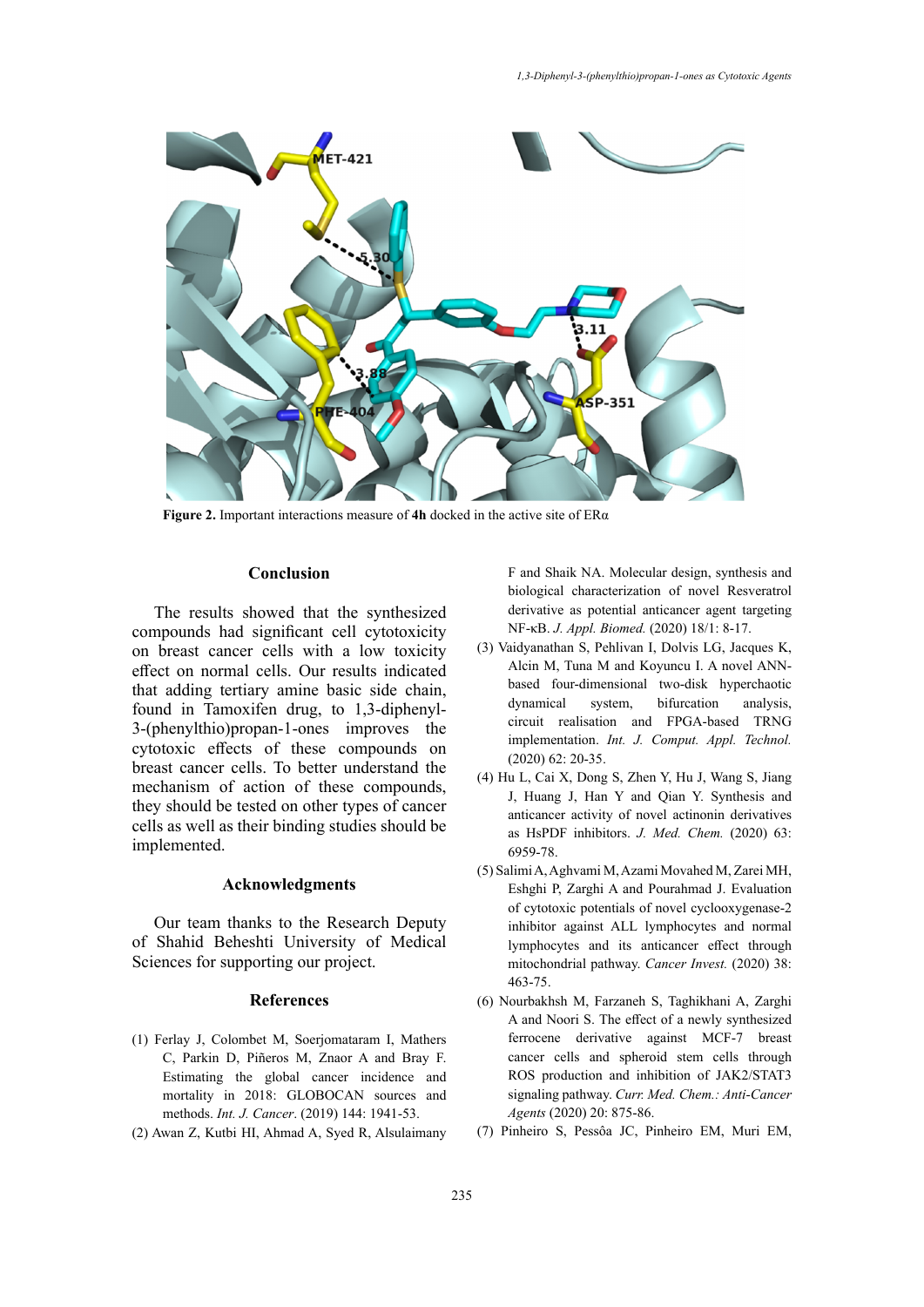

**Figure 2.** Important interactions measure of **4h** docked in the active site of ERα **Figure 2.** Important interactions measure of **4h** docked in the active site of ERα

# **Conclusion**

The results showed that the synthesized compounds had significant cell cytotoxicity on breast cancer cells with a low toxicity effect on normal cells. Our results indicated that adding tertiary amine basic side chain, found in Tamoxifen drug, to 1,3-diphenyl-3-(phenylthio)propan-1-ones improves the cytotoxic effects of these compounds on breast cancer cells. To better understand the mechanism of action of these compounds, they should be tested on other types of cancer cells as well as their binding studies should be implemented.

### **Acknowledgments**

Our team thanks to the Research Deputy of Shahid Beheshti University of Medical Sciences for supporting our project.

### **References**

- (1) Ferlay J, Colombet M, Soerjomataram I, Mathers C, Parkin D, Piñeros M, Znaor A and Bray F. Estimating the global cancer incidence and mortality in 2018: GLOBOCAN sources and methods. *Int. J. Cancer*. (2019) 144: 1941-53.
- (2) Awan Z, Kutbi HI, Ahmad A, Syed R, Alsulaimany

F and Shaik NA. Molecular design, synthesis and biological characterization of novel Resveratrol derivative as potential anticancer agent targeting NF-κB. *J. Appl. Biomed.* (2020) 18/1: 8-17.

- (3) Vaidyanathan S, Pehlivan I, Dolvis LG, Jacques K, Alcin M, Tuna M and Koyuncu I. A novel ANNbased four-dimensional two-disk hyperchaotic dynamical system, bifurcation analysis, circuit realisation and FPGA-based TRNG implementation. *Int. J. Comput. Appl. Technol.* (2020) 62: 20-35.
- (4) Hu L, Cai X, Dong S, Zhen Y, Hu J, Wang S, Jiang J, Huang J, Han Y and Qian Y. Synthesis and anticancer activity of novel actinonin derivatives as HsPDF inhibitors. *J. Med. Chem.* (2020) 63: 6959-78.
- (5) Salimi A, Aghvami M, Azami Movahed M, Zarei MH, Eshghi P, Zarghi A and Pourahmad J. Evaluation of cytotoxic potentials of novel cyclooxygenase-2 inhibitor against ALL lymphocytes and normal lymphocytes and its anticancer effect through mitochondrial pathway. *Cancer Invest.* (2020) 38: 463-75.
- (6) Nourbakhsh M, Farzaneh S, Taghikhani A, Zarghi A and Noori S. The effect of a newly synthesized ferrocene derivative against MCF-7 breast cancer cells and spheroid stem cells through ROS production and inhibition of JAK2/STAT3 signaling pathway. *Curr. Med. Chem.: Anti-Cancer Agents* (2020) 20: 875-86.
- (7) Pinheiro S, Pessôa JC, Pinheiro EM, Muri EM,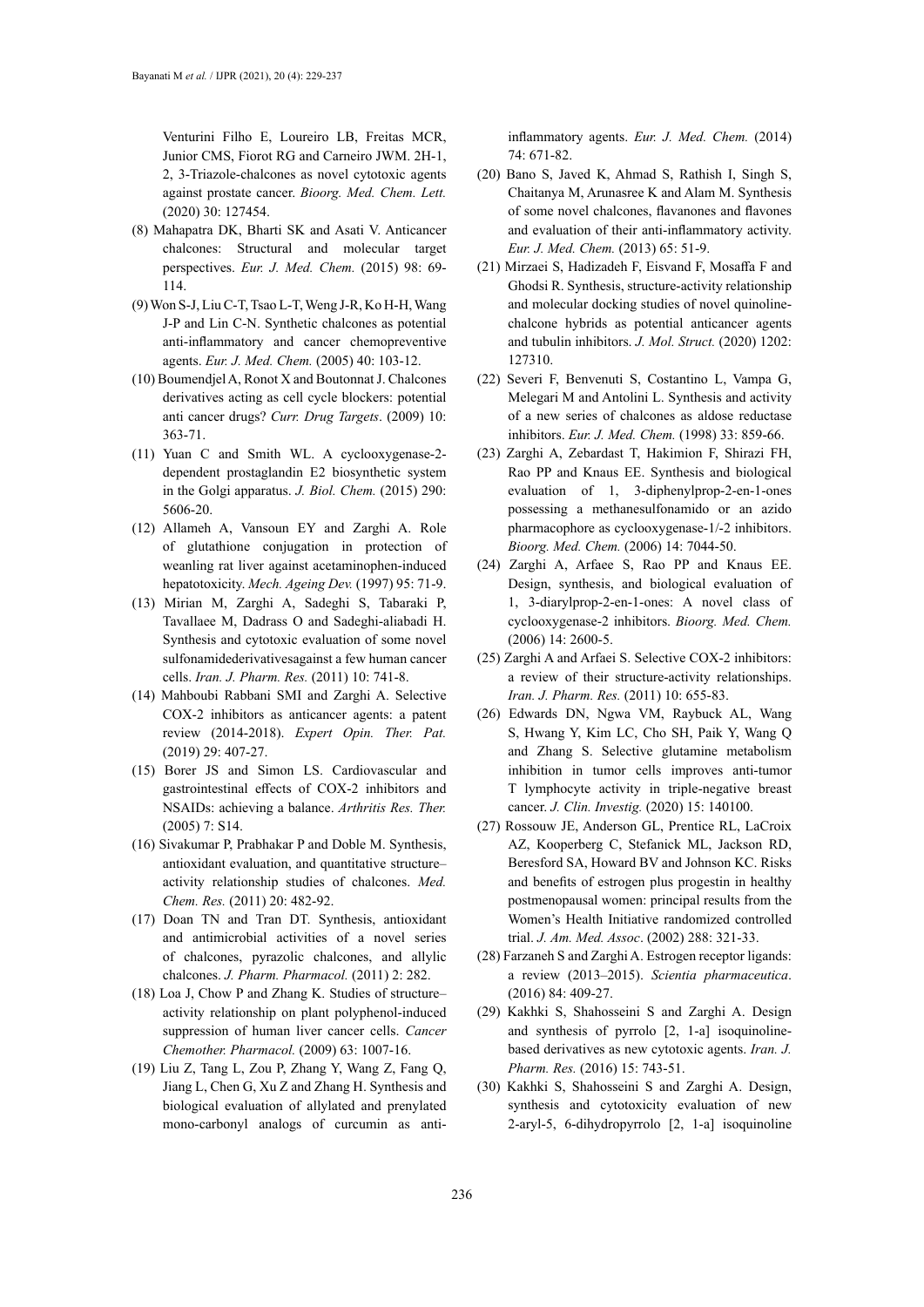Venturini Filho E, Loureiro LB, Freitas MCR, Junior CMS, Fiorot RG and Carneiro JWM. 2H-1, 2, 3-Triazole-chalcones as novel cytotoxic agents against prostate cancer. *Bioorg. Med. Chem. Lett.* (2020) 30: 127454.

- (8) Mahapatra DK, Bharti SK and Asati V. Anticancer chalcones: Structural and molecular target perspectives. *Eur. J. Med. Chem.* (2015) 98: 69- 114.
- (9) Won S-J, Liu C-T, Tsao L-T, Weng J-R, Ko H-H, Wang J-P and Lin C-N. Synthetic chalcones as potential anti-inflammatory and cancer chemopreventive agents. *Eur. J. Med. Chem.* (2005) 40: 103-12.
- (10) Boumendjel A, Ronot X and Boutonnat J. Chalcones derivatives acting as cell cycle blockers: potential anti cancer drugs? *Curr. Drug Targets*. (2009) 10: 363-71.
- (11) Yuan C and Smith WL. A cyclooxygenase-2 dependent prostaglandin E2 biosynthetic system in the Golgi apparatus. *J. Biol. Chem.* (2015) 290: 5606-20.
- (12) Allameh A, Vansoun EY and Zarghi A. Role of glutathione conjugation in protection of weanling rat liver against acetaminophen-induced hepatotoxicity. *Mech. Ageing Dev.* (1997) 95: 71-9.
- (13) Mirian M, Zarghi A, Sadeghi S, Tabaraki P, Tavallaee M, Dadrass O and Sadeghi-aliabadi H. Synthesis and cytotoxic evaluation of some novel sulfonamidederivativesagainst a few human cancer cells. *Iran. J. Pharm. Res.* (2011) 10: 741-8.
- (14) Mahboubi Rabbani SMI and Zarghi A. Selective COX-2 inhibitors as anticancer agents: a patent review (2014-2018). *Expert Opin. Ther. Pat.* (2019) 29: 407-27.
- (15) Borer JS and Simon LS. Cardiovascular and gastrointestinal effects of COX-2 inhibitors and NSAIDs: achieving a balance. *Arthritis Res. Ther.* (2005) 7: S14.
- (16) Sivakumar P, Prabhakar P and Doble M. Synthesis, antioxidant evaluation, and quantitative structure– activity relationship studies of chalcones. *Med. Chem. Res.* (2011) 20: 482-92.
- (17) Doan TN and Tran DT. Synthesis, antioxidant and antimicrobial activities of a novel series of chalcones, pyrazolic chalcones, and allylic chalcones. *J. Pharm. Pharmacol.* (2011) 2: 282.
- (18) Loa J, Chow P and Zhang K. Studies of structure– activity relationship on plant polyphenol-induced suppression of human liver cancer cells. *Cancer Chemother. Pharmacol.* (2009) 63: 1007-16.
- (19) Liu Z, Tang L, Zou P, Zhang Y, Wang Z, Fang Q, Jiang L, Chen G, Xu Z and Zhang H. Synthesis and biological evaluation of allylated and prenylated mono-carbonyl analogs of curcumin as anti-

inflammatory agents. *Eur. J. Med. Chem.* (2014) 74: 671-82.

- (20) Bano S, Javed K, Ahmad S, Rathish I, Singh S, Chaitanya M, Arunasree K and Alam M. Synthesis of some novel chalcones, flavanones and flavones and evaluation of their anti-inflammatory activity. *Eur. J. Med. Chem.* (2013) 65: 51-9.
- (21) Mirzaei S, Hadizadeh F, Eisvand F, Mosaffa F and Ghodsi R. Synthesis, structure-activity relationship and molecular docking studies of novel quinolinechalcone hybrids as potential anticancer agents and tubulin inhibitors. *J. Mol. Struct.* (2020) 1202: 127310.
- (22) Severi F, Benvenuti S, Costantino L, Vampa G, Melegari M and Antolini L. Synthesis and activity of a new series of chalcones as aldose reductase inhibitors. *Eur. J. Med. Chem.* (1998) 33: 859-66.
- (23) Zarghi A, Zebardast T, Hakimion F, Shirazi FH, Rao PP and Knaus EE. Synthesis and biological evaluation of 1, 3-diphenylprop-2-en-1-ones possessing a methanesulfonamido or an azido pharmacophore as cyclooxygenase-1/-2 inhibitors. *Bioorg. Med. Chem.* (2006) 14: 7044-50.
- (24) Zarghi A, Arfaee S, Rao PP and Knaus EE. Design, synthesis, and biological evaluation of 1, 3-diarylprop-2-en-1-ones: A novel class of cyclooxygenase-2 inhibitors. *Bioorg. Med. Chem.* (2006) 14: 2600-5.
- (25) Zarghi A and Arfaei S. Selective COX-2 inhibitors: a review of their structure-activity relationships. *Iran. J. Pharm. Res.* (2011) 10: 655-83.
- (26) Edwards DN, Ngwa VM, Raybuck AL, Wang S, Hwang Y, Kim LC, Cho SH, Paik Y, Wang Q and Zhang S. Selective glutamine metabolism inhibition in tumor cells improves anti-tumor T lymphocyte activity in triple-negative breast cancer. *J. Clin. Investig.* (2020) 15: 140100.
- (27) Rossouw JE, Anderson GL, Prentice RL, LaCroix AZ, Kooperberg C, Stefanick ML, Jackson RD, Beresford SA, Howard BV and Johnson KC. Risks and benefits of estrogen plus progestin in healthy postmenopausal women: principal results from the Women's Health Initiative randomized controlled trial. *J. Am. Med. Assoc*. (2002) 288: 321-33.
- (28) Farzaneh S and Zarghi A. Estrogen receptor ligands: a review (2013–2015). *Scientia pharmaceutica*. (2016) 84: 409-27.
- (29) Kakhki S, Shahosseini S and Zarghi A. Design and synthesis of pyrrolo [2, 1-a] isoquinolinebased derivatives as new cytotoxic agents. *Iran. J. Pharm. Res.* (2016) 15: 743-51.
- (30) Kakhki S, Shahosseini S and Zarghi A. Design, synthesis and cytotoxicity evaluation of new 2-aryl-5, 6-dihydropyrrolo [2, 1-a] isoquinoline